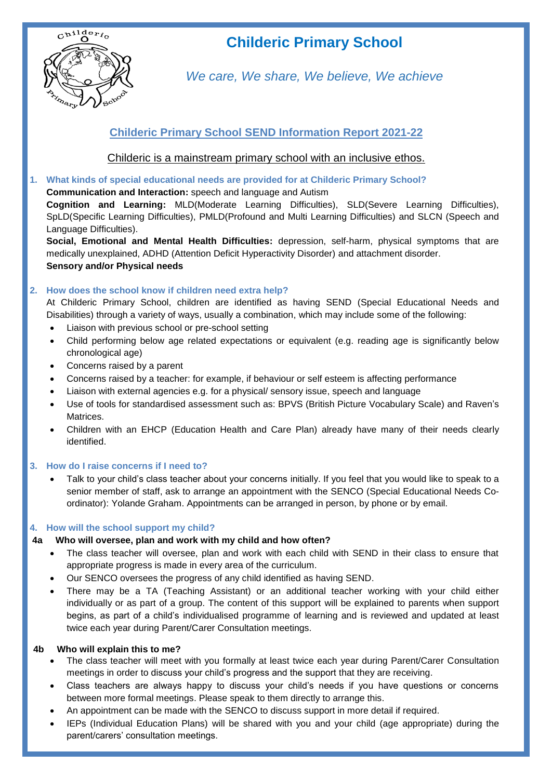

# **Childeric Primary School**

*We care, We share, We believe, We achieve*

## **Childeric Primary School SEND Information Report 2021-22**

Childeric is a mainstream primary school with an inclusive ethos.

**1. What kinds of special educational needs are provided for at Childeric Primary School?**

## **Communication and Interaction:** speech and language and Autism

**Cognition and Learning:** MLD(Moderate Learning Difficulties), SLD(Severe Learning Difficulties), SpLD(Specific Learning Difficulties), PMLD(Profound and Multi Learning Difficulties) and SLCN (Speech and Language Difficulties).

**Social, Emotional and Mental Health Difficulties:** depression, self-harm, physical symptoms that are medically unexplained, ADHD (Attention Deficit Hyperactivity Disorder) and attachment disorder. **Sensory and/or Physical needs** 

## **2. How does the school know if children need extra help?**

At Childeric Primary School, children are identified as having SEND (Special Educational Needs and Disabilities) through a variety of ways, usually a combination, which may include some of the following:

- Liaison with previous school or pre-school setting
- Child performing below age related expectations or equivalent (e.g. reading age is significantly below chronological age)
- Concerns raised by a parent
- Concerns raised by a teacher: for example, if behaviour or self esteem is affecting performance
- Liaison with external agencies e.g. for a physical/ sensory issue, speech and language
- Use of tools for standardised assessment such as: BPVS (British Picture Vocabulary Scale) and Raven's **Matrices**
- Children with an EHCP (Education Health and Care Plan) already have many of their needs clearly identified.

## **3. How do I raise concerns if I need to?**

 Talk to your child's class teacher about your concerns initially. If you feel that you would like to speak to a senior member of staff, ask to arrange an appointment with the SENCO (Special Educational Needs Coordinator): Yolande Graham. Appointments can be arranged in person, by phone or by email.

## **4. How will the school support my child?**

## **4a Who will oversee, plan and work with my child and how often?**

- The class teacher will oversee, plan and work with each child with SEND in their class to ensure that appropriate progress is made in every area of the curriculum.
- Our SENCO oversees the progress of any child identified as having SEND.
- There may be a TA (Teaching Assistant) or an additional teacher working with your child either individually or as part of a group. The content of this support will be explained to parents when support begins, as part of a child's individualised programme of learning and is reviewed and updated at least twice each year during Parent/Carer Consultation meetings.

## **4b Who will explain this to me?**

- The class teacher will meet with you formally at least twice each year during Parent/Carer Consultation meetings in order to discuss your child's progress and the support that they are receiving.
- Class teachers are always happy to discuss your child's needs if you have questions or concerns between more formal meetings. Please speak to them directly to arrange this.
- An appointment can be made with the SENCO to discuss support in more detail if required.
- IEPs (Individual Education Plans) will be shared with you and your child (age appropriate) during the parent/carers' consultation meetings.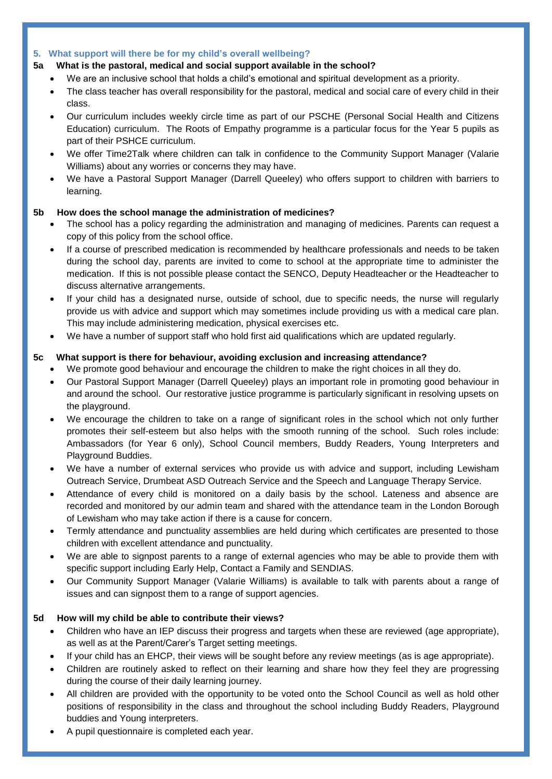#### **5. What support will there be for my child's overall wellbeing?**

#### **5a What is the pastoral, medical and social support available in the school?**

- We are an inclusive school that holds a child's emotional and spiritual development as a priority.
- The class teacher has overall responsibility for the pastoral, medical and social care of every child in their class.
- Our curriculum includes weekly circle time as part of our PSCHE (Personal Social Health and Citizens Education) curriculum. The Roots of Empathy programme is a particular focus for the Year 5 pupils as part of their PSHCE curriculum.
- We offer Time2Talk where children can talk in confidence to the Community Support Manager (Valarie Williams) about any worries or concerns they may have.
- We have a Pastoral Support Manager (Darrell Queeley) who offers support to children with barriers to learning.

#### **5b How does the school manage the administration of medicines?**

- The school has a policy regarding the administration and managing of medicines. Parents can request a copy of this policy from the school office.
- If a course of prescribed medication is recommended by healthcare professionals and needs to be taken during the school day, parents are invited to come to school at the appropriate time to administer the medication. If this is not possible please contact the SENCO, Deputy Headteacher or the Headteacher to discuss alternative arrangements.
- If your child has a designated nurse, outside of school, due to specific needs, the nurse will regularly provide us with advice and support which may sometimes include providing us with a medical care plan. This may include administering medication, physical exercises etc.
- We have a number of support staff who hold first aid qualifications which are updated regularly.

#### **5c What support is there for behaviour, avoiding exclusion and increasing attendance?**

- We promote good behaviour and encourage the children to make the right choices in all they do.
- Our Pastoral Support Manager (Darrell Queeley) plays an important role in promoting good behaviour in and around the school. Our restorative justice programme is particularly significant in resolving upsets on the playground.
- We encourage the children to take on a range of significant roles in the school which not only further promotes their self-esteem but also helps with the smooth running of the school. Such roles include: Ambassadors (for Year 6 only), School Council members, Buddy Readers, Young Interpreters and Playground Buddies.
- We have a number of external services who provide us with advice and support, including Lewisham Outreach Service, Drumbeat ASD Outreach Service and the Speech and Language Therapy Service.
- Attendance of every child is monitored on a daily basis by the school. Lateness and absence are recorded and monitored by our admin team and shared with the attendance team in the London Borough of Lewisham who may take action if there is a cause for concern.
- Termly attendance and punctuality assemblies are held during which certificates are presented to those children with excellent attendance and punctuality.
- We are able to signpost parents to a range of external agencies who may be able to provide them with specific support including Early Help, Contact a Family and SENDIAS.
- Our Community Support Manager (Valarie Williams) is available to talk with parents about a range of issues and can signpost them to a range of support agencies.

#### **5d How will my child be able to contribute their views?**

- Children who have an IEP discuss their progress and targets when these are reviewed (age appropriate), as well as at the Parent/Carer's Target setting meetings.
- If your child has an EHCP, their views will be sought before any review meetings (as is age appropriate).
- Children are routinely asked to reflect on their learning and share how they feel they are progressing during the course of their daily learning journey.
- All children are provided with the opportunity to be voted onto the School Council as well as hold other positions of responsibility in the class and throughout the school including Buddy Readers, Playground buddies and Young interpreters.
- A pupil questionnaire is completed each year.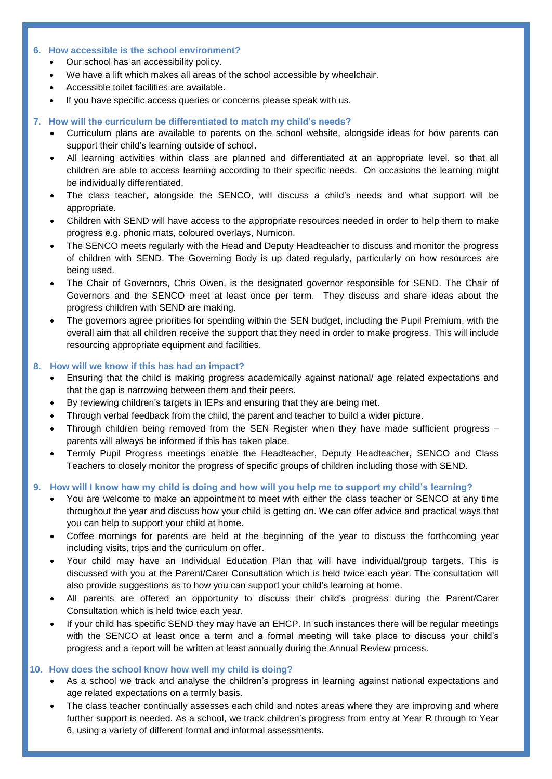#### **6. How accessible is the school environment?**

- Our school has an accessibility policy.
- We have a lift which makes all areas of the school accessible by wheelchair.
- Accessible toilet facilities are available.
- If you have specific access queries or concerns please speak with us.

#### **7. How will the curriculum be differentiated to match my child's needs?**

- Curriculum plans are available to parents on the school website, alongside ideas for how parents can support their child's learning outside of school.
- All learning activities within class are planned and differentiated at an appropriate level, so that all children are able to access learning according to their specific needs. On occasions the learning might be individually differentiated.
- The class teacher, alongside the SENCO, will discuss a child's needs and what support will be appropriate.
- Children with SEND will have access to the appropriate resources needed in order to help them to make progress e.g. phonic mats, coloured overlays, Numicon.
- The SENCO meets regularly with the Head and Deputy Headteacher to discuss and monitor the progress of children with SEND. The Governing Body is up dated regularly, particularly on how resources are being used.
- The Chair of Governors, Chris Owen, is the designated governor responsible for SEND. The Chair of Governors and the SENCO meet at least once per term. They discuss and share ideas about the progress children with SEND are making.
- The governors agree priorities for spending within the SEN budget, including the Pupil Premium, with the overall aim that all children receive the support that they need in order to make progress. This will include resourcing appropriate equipment and facilities.

#### **8. How will we know if this has had an impact?**

- Ensuring that the child is making progress academically against national/ age related expectations and that the gap is narrowing between them and their peers.
- By reviewing children's targets in IEPs and ensuring that they are being met.
- Through verbal feedback from the child, the parent and teacher to build a wider picture.
- Through children being removed from the SEN Register when they have made sufficient progress parents will always be informed if this has taken place.
- Termly Pupil Progress meetings enable the Headteacher, Deputy Headteacher, SENCO and Class Teachers to closely monitor the progress of specific groups of children including those with SEND.

## **9. How will I know how my child is doing and how will you help me to support my child's learning?**

- You are welcome to make an appointment to meet with either the class teacher or SENCO at any time throughout the year and discuss how your child is getting on. We can offer advice and practical ways that you can help to support your child at home.
- Coffee mornings for parents are held at the beginning of the year to discuss the forthcoming year including visits, trips and the curriculum on offer.
- Your child may have an Individual Education Plan that will have individual/group targets. This is discussed with you at the Parent/Carer Consultation which is held twice each year. The consultation will also provide suggestions as to how you can support your child's learning at home.
- All parents are offered an opportunity to discuss their child's progress during the Parent/Carer Consultation which is held twice each year.
- If your child has specific SEND they may have an EHCP. In such instances there will be regular meetings with the SENCO at least once a term and a formal meeting will take place to discuss your child's progress and a report will be written at least annually during the Annual Review process.

#### **10. How does the school know how well my child is doing?**

- As a school we track and analyse the children's progress in learning against national expectations and age related expectations on a termly basis.
- The class teacher continually assesses each child and notes areas where they are improving and where further support is needed. As a school, we track children's progress from entry at Year R through to Year 6, using a variety of different formal and informal assessments.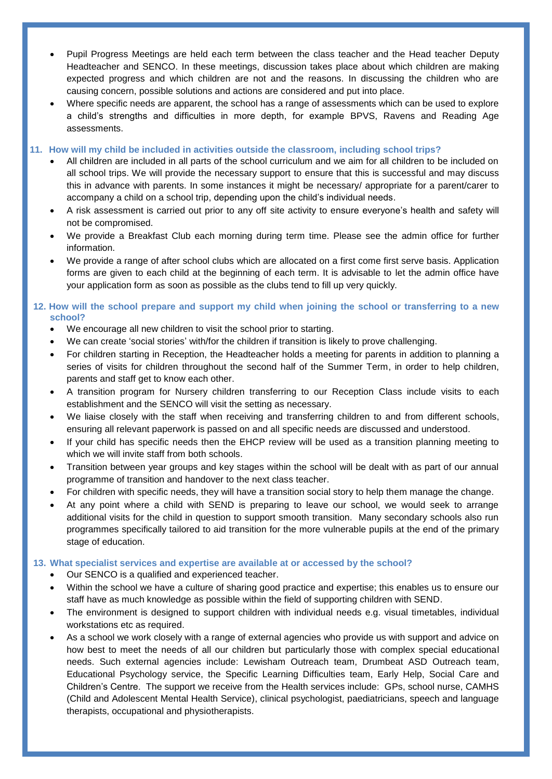- Pupil Progress Meetings are held each term between the class teacher and the Head teacher Deputy Headteacher and SENCO. In these meetings, discussion takes place about which children are making expected progress and which children are not and the reasons. In discussing the children who are causing concern, possible solutions and actions are considered and put into place.
- Where specific needs are apparent, the school has a range of assessments which can be used to explore a child's strengths and difficulties in more depth, for example BPVS, Ravens and Reading Age assessments.

#### **11. How will my child be included in activities outside the classroom, including school trips?**

- All children are included in all parts of the school curriculum and we aim for all children to be included on all school trips. We will provide the necessary support to ensure that this is successful and may discuss this in advance with parents. In some instances it might be necessary/ appropriate for a parent/carer to accompany a child on a school trip, depending upon the child's individual needs.
- A risk assessment is carried out prior to any off site activity to ensure everyone's health and safety will not be compromised.
- We provide a Breakfast Club each morning during term time. Please see the admin office for further information.
- We provide a range of after school clubs which are allocated on a first come first serve basis. Application forms are given to each child at the beginning of each term. It is advisable to let the admin office have your application form as soon as possible as the clubs tend to fill up very quickly.

#### **12. How will the school prepare and support my child when joining the school or transferring to a new school?**

- We encourage all new children to visit the school prior to starting.
- We can create 'social stories' with/for the children if transition is likely to prove challenging.
- For children starting in Reception, the Headteacher holds a meeting for parents in addition to planning a series of visits for children throughout the second half of the Summer Term, in order to help children, parents and staff get to know each other.
- A transition program for Nursery children transferring to our Reception Class include visits to each establishment and the SENCO will visit the setting as necessary.
- We liaise closely with the staff when receiving and transferring children to and from different schools, ensuring all relevant paperwork is passed on and all specific needs are discussed and understood.
- If your child has specific needs then the EHCP review will be used as a transition planning meeting to which we will invite staff from both schools.
- Transition between year groups and key stages within the school will be dealt with as part of our annual programme of transition and handover to the next class teacher.
- For children with specific needs, they will have a transition social story to help them manage the change.
- At any point where a child with SEND is preparing to leave our school, we would seek to arrange additional visits for the child in question to support smooth transition. Many secondary schools also run programmes specifically tailored to aid transition for the more vulnerable pupils at the end of the primary stage of education.

#### **13. What specialist services and expertise are available at or accessed by the school?**

- Our SENCO is a qualified and experienced teacher.
- Within the school we have a culture of sharing good practice and expertise; this enables us to ensure our staff have as much knowledge as possible within the field of supporting children with SEND.
- The environment is designed to support children with individual needs e.g. visual timetables, individual workstations etc as required.
- As a school we work closely with a range of external agencies who provide us with support and advice on how best to meet the needs of all our children but particularly those with complex special educational needs. Such external agencies include: Lewisham Outreach team, Drumbeat ASD Outreach team, Educational Psychology service, the Specific Learning Difficulties team, Early Help, Social Care and Children's Centre. The support we receive from the Health services include: GPs, school nurse, CAMHS (Child and Adolescent Mental Health Service), clinical psychologist, paediatricians, speech and language therapists, occupational and physiotherapists.